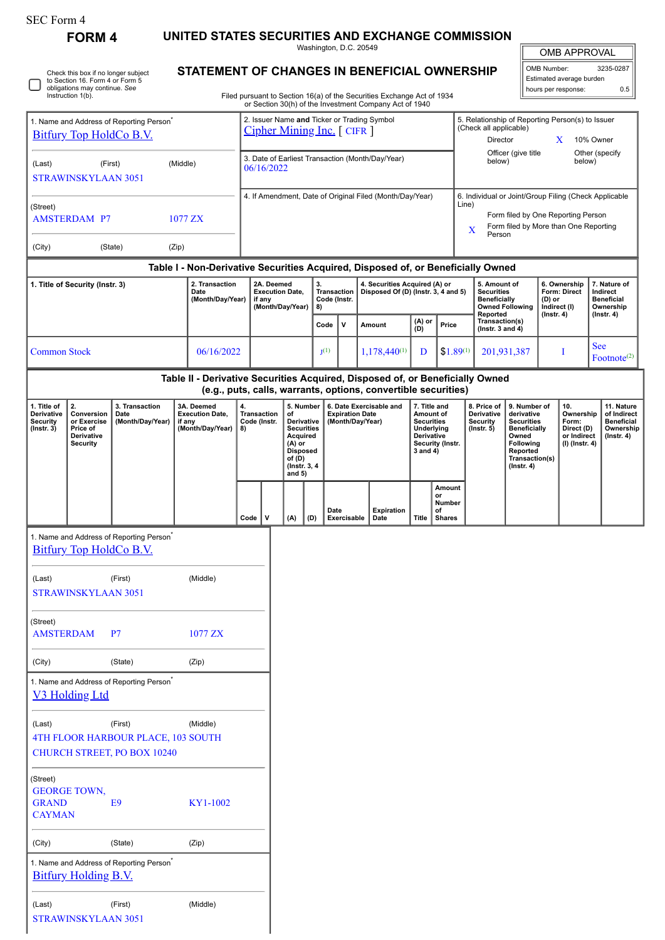**FORM 4 UNITED STATES SECURITIES AND EXCHANGE COMMISSION**

Washington, D.C. 20549

OMB APPROVAL

| OMB Number:              | 3235-0287 |  |  |  |  |
|--------------------------|-----------|--|--|--|--|
| Estimated average burden |           |  |  |  |  |
| hours per response:      | ስ 5       |  |  |  |  |

5. Relationship of Reporting Person(s) to Issuer

 $\blacksquare$ 

(Check all applicable)

Check this box if no longer subject to Section 16. Form 4 or Form 5 obligations may continue. *See* Instruction 1(b). П 1. Name and Address of Reporting Person\* [Bitfury Top HoldCo B.V.](http://www.sec.gov/cgi-bin/browse-edgar?action=getcompany&CIK=0001884407)

(Last) (First) (Middle)

STRAWINSKYLAAN 3051

## **STATEMENT OF CHANGES IN BENEFICIAL OWNERSHIP**

Filed pursuant to Section 16(a) of the Securities Exchange Act of 1934 or Section 30(h) of the Investment Company Act of 1940

2. Issuer Name **and** Ticker or Trading Symbol [Cipher Mining Inc.](http://www.sec.gov/cgi-bin/browse-edgar?action=getcompany&CIK=0001819989) [ CIFR ]

|                                                                               |                                                                              | <u>Bittury Top HoldCo B.V.</u>                                                      |                                                                                  |                                                                    | $\frac{C1}{C1}$ $\frac{C1}{C1}$                                |          |                                                                                                                                                                                                        |                             |             |        |                                                                      |                                                                                                                |                                                                                                                                                              |                                                                                                | Director                                                          |                                                                                                                                                |                                     | X                                                                          | 10% Owner                                                                      |                                                                                 |
|-------------------------------------------------------------------------------|------------------------------------------------------------------------------|-------------------------------------------------------------------------------------|----------------------------------------------------------------------------------|--------------------------------------------------------------------|----------------------------------------------------------------|----------|--------------------------------------------------------------------------------------------------------------------------------------------------------------------------------------------------------|-----------------------------|-------------|--------|----------------------------------------------------------------------|----------------------------------------------------------------------------------------------------------------|--------------------------------------------------------------------------------------------------------------------------------------------------------------|------------------------------------------------------------------------------------------------|-------------------------------------------------------------------|------------------------------------------------------------------------------------------------------------------------------------------------|-------------------------------------|----------------------------------------------------------------------------|--------------------------------------------------------------------------------|---------------------------------------------------------------------------------|
| (First)<br>(Middle)<br>(Last)<br><b>STRAWINSKYLAAN 3051</b>                   |                                                                              |                                                                                     |                                                                                  |                                                                    | 3. Date of Earliest Transaction (Month/Day/Year)<br>06/16/2022 |          |                                                                                                                                                                                                        |                             |             |        |                                                                      | Officer (give title<br>Other (specify<br>below)<br>below)                                                      |                                                                                                                                                              |                                                                                                |                                                                   |                                                                                                                                                |                                     |                                                                            |                                                                                |                                                                                 |
| (Street)<br>1077 ZX<br><b>AMSTERDAM P7</b><br>(City)<br>(State)<br>(Zip)      |                                                                              |                                                                                     |                                                                                  |                                                                    | 4. If Amendment, Date of Original Filed (Month/Day/Year)       |          |                                                                                                                                                                                                        |                             |             |        |                                                                      |                                                                                                                | 6. Individual or Joint/Group Filing (Check Applicable<br>Line)<br>Form filed by One Reporting Person<br>Form filed by More than One Reporting<br>X<br>Person |                                                                                                |                                                                   |                                                                                                                                                |                                     |                                                                            |                                                                                |                                                                                 |
|                                                                               |                                                                              |                                                                                     | Table I - Non-Derivative Securities Acquired, Disposed of, or Beneficially Owned |                                                                    |                                                                |          |                                                                                                                                                                                                        |                             |             |        |                                                                      |                                                                                                                |                                                                                                                                                              |                                                                                                |                                                                   |                                                                                                                                                |                                     |                                                                            |                                                                                |                                                                                 |
| 2. Transaction<br>1. Title of Security (Instr. 3)<br>Date<br>(Month/Day/Year) |                                                                              |                                                                                     |                                                                                  | 2A. Deemed<br><b>Execution Date,</b><br>if any<br>(Month/Day/Year) |                                                                | 3.<br>8) |                                                                                                                                                                                                        | Transaction<br>Code (Instr. |             |        | 4. Securities Acquired (A) or<br>Disposed Of (D) (Instr. 3, 4 and 5) |                                                                                                                |                                                                                                                                                              | 5. Amount of<br><b>Securities</b><br><b>Beneficially</b><br><b>Owned Following</b><br>Reported |                                                                   | (D) or<br>Indirect (I)                                                                                                                         | 6. Ownership<br><b>Form: Direct</b> |                                                                            | 7. Nature of<br>Indirect<br><b>Beneficial</b><br>Ownership<br>$($ Instr. 4 $)$ |                                                                                 |
|                                                                               |                                                                              |                                                                                     |                                                                                  |                                                                    |                                                                |          |                                                                                                                                                                                                        | V<br>Code                   |             | Amount |                                                                      | (A) or<br>(D)                                                                                                  | Price                                                                                                                                                        |                                                                                                | Transaction(s)<br>( $lnstr. 3 and 4$ )                            |                                                                                                                                                | $($ Instr. 4 $)$                    |                                                                            |                                                                                |                                                                                 |
| <b>Common Stock</b>                                                           |                                                                              |                                                                                     | 06/16/2022                                                                       |                                                                    |                                                                |          |                                                                                                                                                                                                        | $J^{(1)}$                   |             |        | $1,178,440^{(1)}$                                                    | D                                                                                                              |                                                                                                                                                              | $$1.89^{(1)}$                                                                                  | 201,931,387                                                       |                                                                                                                                                |                                     | Ι                                                                          | <b>See</b>                                                                     | Footnote <sup>(2)</sup>                                                         |
|                                                                               |                                                                              |                                                                                     | Table II - Derivative Securities Acquired, Disposed of, or Beneficially Owned    |                                                                    |                                                                |          |                                                                                                                                                                                                        |                             |             |        | (e.g., puts, calls, warrants, options, convertible securities)       |                                                                                                                |                                                                                                                                                              |                                                                                                |                                                                   |                                                                                                                                                |                                     |                                                                            |                                                                                |                                                                                 |
| 1. Title of<br>Derivative<br><b>Security</b><br>$($ Instr. 3 $)$              | 2.<br>Conversion<br>or Exercise<br>Price of<br>Derivative<br><b>Security</b> | 3. Transaction<br>Date<br>(Month/Day/Year)                                          | 3A. Deemed<br><b>Execution Date,</b><br>if any<br>(Month/Day/Year)               | 4.<br>8)                                                           | <b>Transaction</b><br>Code (Instr.                             | of       | 5. Number<br>6. Date Exercisable and<br><b>Expiration Date</b><br>Derivative<br>(Month/Day/Year)<br><b>Securities</b><br>Acquired<br>$(A)$ or<br><b>Disposed</b><br>of (D)<br>(Instr. 3, 4<br>and $5)$ |                             |             |        |                                                                      | 7. Title and<br>Amount of<br><b>Securities</b><br>Underlying<br>Derivative<br>Security (Instr.<br>$3$ and $4)$ |                                                                                                                                                              |                                                                                                | 8. Price of<br><b>Derivative</b><br><b>Security</b><br>(Instr. 5) | 9. Number of<br>derivative<br><b>Securities</b><br><b>Beneficially</b><br>Owned<br>Following<br>Reported<br>Transaction(s)<br>$($ Instr. 4 $)$ |                                     | 10.<br>Ownership<br>Form:<br>Direct (D)<br>or Indirect<br>$(I)$ (Instr. 4) |                                                                                | 11. Nature<br>of Indirect<br><b>Beneficial</b><br>Ownership<br>$($ Instr. 4 $)$ |
|                                                                               |                                                                              |                                                                                     |                                                                                  | Code                                                               | v                                                              | (A)      | (D)                                                                                                                                                                                                    | Date                        | Exercisable |        | <b>Expiration</b><br>Date                                            | Title                                                                                                          | Amount<br>or<br>Number<br>of<br><b>Shares</b>                                                                                                                |                                                                                                |                                                                   |                                                                                                                                                |                                     |                                                                            |                                                                                |                                                                                 |
|                                                                               |                                                                              | 1. Name and Address of Reporting Person<br><b>Bitfury Top HoldCo B.V.</b>           |                                                                                  |                                                                    |                                                                |          |                                                                                                                                                                                                        |                             |             |        |                                                                      |                                                                                                                |                                                                                                                                                              |                                                                                                |                                                                   |                                                                                                                                                |                                     |                                                                            |                                                                                |                                                                                 |
| (Last)                                                                        | <b>STRAWINSKYLAAN 3051</b>                                                   | (First)                                                                             | (Middle)                                                                         |                                                                    |                                                                |          |                                                                                                                                                                                                        |                             |             |        |                                                                      |                                                                                                                |                                                                                                                                                              |                                                                                                |                                                                   |                                                                                                                                                |                                     |                                                                            |                                                                                |                                                                                 |
| (Street)<br><b>AMSTERDAM</b>                                                  |                                                                              | P7                                                                                  | 1077 ZX                                                                          |                                                                    |                                                                |          |                                                                                                                                                                                                        |                             |             |        |                                                                      |                                                                                                                |                                                                                                                                                              |                                                                                                |                                                                   |                                                                                                                                                |                                     |                                                                            |                                                                                |                                                                                 |
| (City)                                                                        |                                                                              | (State)                                                                             | (Zip)                                                                            |                                                                    |                                                                |          |                                                                                                                                                                                                        |                             |             |        |                                                                      |                                                                                                                |                                                                                                                                                              |                                                                                                |                                                                   |                                                                                                                                                |                                     |                                                                            |                                                                                |                                                                                 |
|                                                                               | V3 Holding Ltd                                                               | 1. Name and Address of Reporting Person <sup>*</sup>                                |                                                                                  |                                                                    |                                                                |          |                                                                                                                                                                                                        |                             |             |        |                                                                      |                                                                                                                |                                                                                                                                                              |                                                                                                |                                                                   |                                                                                                                                                |                                     |                                                                            |                                                                                |                                                                                 |
| (Last)                                                                        |                                                                              | (First)<br>4TH FLOOR HARBOUR PLACE, 103 SOUTH<br><b>CHURCH STREET, PO BOX 10240</b> | (Middle)                                                                         |                                                                    |                                                                |          |                                                                                                                                                                                                        |                             |             |        |                                                                      |                                                                                                                |                                                                                                                                                              |                                                                                                |                                                                   |                                                                                                                                                |                                     |                                                                            |                                                                                |                                                                                 |
| (Street)<br><b>GRAND</b><br><b>CAYMAN</b>                                     | <b>GEORGE TOWN,</b>                                                          | E <sub>9</sub>                                                                      | KY1-1002                                                                         |                                                                    |                                                                |          |                                                                                                                                                                                                        |                             |             |        |                                                                      |                                                                                                                |                                                                                                                                                              |                                                                                                |                                                                   |                                                                                                                                                |                                     |                                                                            |                                                                                |                                                                                 |
| (City)                                                                        |                                                                              | (State)                                                                             | (Zip)                                                                            |                                                                    |                                                                |          |                                                                                                                                                                                                        |                             |             |        |                                                                      |                                                                                                                |                                                                                                                                                              |                                                                                                |                                                                   |                                                                                                                                                |                                     |                                                                            |                                                                                |                                                                                 |
|                                                                               | Bitfury Holding B.V.                                                         | 1. Name and Address of Reporting Person <sup>*</sup>                                |                                                                                  |                                                                    |                                                                |          |                                                                                                                                                                                                        |                             |             |        |                                                                      |                                                                                                                |                                                                                                                                                              |                                                                                                |                                                                   |                                                                                                                                                |                                     |                                                                            |                                                                                |                                                                                 |